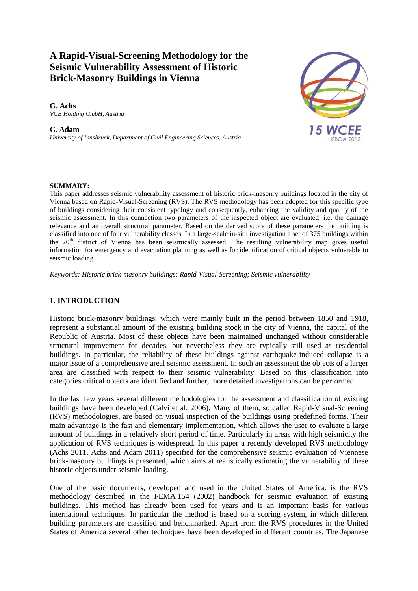# **A Rapid-Visual-Screening Methodology for the Seismic Vulnerability Assessment of Historic Brick-Masonry Buildings in Vienna**

**G. Achs**  *VCE Holding GmbH, Austria* 

**C. Adam**  *University of Innsbruck, Department of Civil Engineering Sciences, Austria*



#### **SUMMARY:**

This paper addresses seismic vulnerability assessment of historic brick-masonry buildings located in the city of Vienna based on Rapid-Visual-Screening (RVS). The RVS methodology has been adopted for this specific type of buildings considering their consistent typology and consequently, enhancing the validity and quality of the seismic assessment. In this connection two parameters of the inspected object are evaluated, i.e. the damage relevance and an overall structural parameter. Based on the derived score of these parameters the building is classified into one of four vulnerability classes. In a large-scale in-situ investigation a set of 375 buildings within the 20<sup>th</sup> district of Vienna has been seismically assessed. The resulting vulnerability map gives useful information for emergency and evacuation planning as well as for identification of critical objects vulnerable to seismic loading.

*Keywords: Historic brick-masonry buildings; Rapid-Visual-Screening; Seismic vulnerability*

# **1. INTRODUCTION**

Historic brick-masonry buildings, which were mainly built in the period between 1850 and 1918, represent a substantial amount of the existing building stock in the city of Vienna, the capital of the Republic of Austria. Most of these objects have been maintained unchanged without considerable structural improvement for decades, but nevertheless they are typically still used as residential buildings. In particular, the reliability of these buildings against earthquake-induced collapse is a major issue of a comprehensive areal seismic assessment. In such an assessment the objects of a larger area are classified with respect to their seismic vulnerability. Based on this classification into categories critical objects are identified and further, more detailed investigations can be performed.

In the last few years several different methodologies for the assessment and classification of existing buildings have been developed (Calvi et al. 2006). Many of them, so called Rapid-Visual-Screening (RVS) methodologies, are based on visual inspection of the buildings using predefined forms. Their main advantage is the fast and elementary implementation, which allows the user to evaluate a large amount of buildings in a relatively short period of time. Particularly in areas with high seismicity the application of RVS techniques is widespread. In this paper a recently developed RVS methodology (Achs 2011, Achs and Adam 2011) specified for the comprehensive seismic evaluation of Viennese brick-masonry buildings is presented, which aims at realistically estimating the vulnerability of these historic objects under seismic loading.

One of the basic documents, developed and used in the United States of America, is the RVS methodology described in the FEMA 154 (2002) handbook for seismic evaluation of existing buildings. This method has already been used for years and is an important basis for various international techniques. In particular the method is based on a scoring system, in which different building parameters are classified and benchmarked. Apart from the RVS procedures in the United States of America several other techniques have been developed in different countries. The Japanese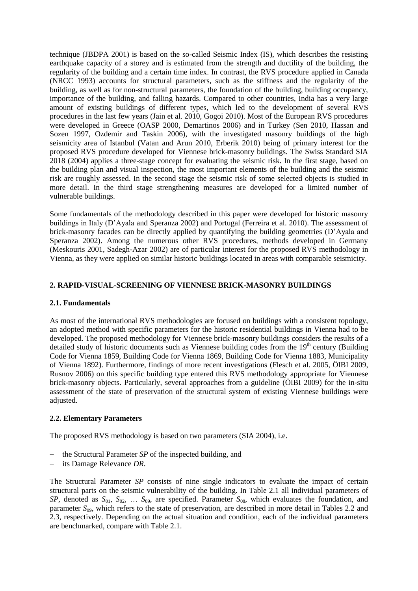technique (JBDPA 2001) is based on the so-called Seismic Index (IS), which describes the resisting earthquake capacity of a storey and is estimated from the strength and ductility of the building, the regularity of the building and a certain time index. In contrast, the RVS procedure applied in Canada (NRCC 1993) accounts for structural parameters, such as the stiffness and the regularity of the building, as well as for non-structural parameters, the foundation of the building, building occupancy, importance of the building, and falling hazards. Compared to other countries, India has a very large amount of existing buildings of different types, which led to the development of several RVS procedures in the last few years (Jain et al. 2010, Gogoi 2010). Most of the European RVS procedures were developed in Greece (OASP 2000, Demartinos 2006) and in Turkey (Sen 2010, Hassan and Sozen 1997, Ozdemir and Taskin 2006), with the investigated masonry buildings of the high seismicity area of Istanbul (Vatan and Arun 2010, Erberik 2010) being of primary interest for the proposed RVS procedure developed for Viennese brick-masonry buildings. The Swiss Standard SIA 2018 (2004) applies a three-stage concept for evaluating the seismic risk. In the first stage, based on the building plan and visual inspection, the most important elements of the building and the seismic risk are roughly assessed. In the second stage the seismic risk of some selected objects is studied in more detail. In the third stage strengthening measures are developed for a limited number of vulnerable buildings.

Some fundamentals of the methodology described in this paper were developed for historic masonry buildings in Italy (D'Ayala and Speranza 2002) and Portugal (Ferreira et al. 2010). The assessment of brick-masonry facades can be directly applied by quantifying the building geometries (D'Ayala and Speranza 2002). Among the numerous other RVS procedures, methods developed in Germany (Meskouris 2001, Sadegh-Azar 2002) are of particular interest for the proposed RVS methodology in Vienna, as they were applied on similar historic buildings located in areas with comparable seismicity.

# **2. RAPID-VISUAL-SCREENING OF VIENNESE BRICK-MASONRY BUILDINGS**

# **2.1. Fundamentals**

As most of the international RVS methodologies are focused on buildings with a consistent topology, an adopted method with specific parameters for the historic residential buildings in Vienna had to be developed. The proposed methodology for Viennese brick-masonry buildings considers the results of a detailed study of historic documents such as Viennese building codes from the 19<sup>th</sup> century (Building Code for Vienna 1859, Building Code for Vienna 1869, Building Code for Vienna 1883, Municipality of Vienna 1892). Furthermore, findings of more recent investigations (Flesch et al. 2005, ÖIBI 2009, Rusnov 2006) on this specific building type entered this RVS methodology appropriate for Viennese brick-masonry objects. Particularly, several approaches from a guideline (ÖIBI 2009) for the in-situ assessment of the state of preservation of the structural system of existing Viennese buildings were adjusted.

# **2.2. Elementary Parameters**

The proposed RVS methodology is based on two parameters (SIA 2004), i.e.

- the Structural Parameter *SP* of the inspected building, and
- its Damage Relevance *DR*.

The Structural Parameter *SP* consists of nine single indicators to evaluate the impact of certain structural parts on the seismic vulnerability of the building. In Table 2.1 all individual parameters of *SP*, denoted as *S*01, *S*02, … *S*09, are specified. Parameter *S*08, which evaluates the foundation, and parameter *S*<sub>09</sub>, which refers to the state of preservation, are described in more detail in Tables 2.2 and 2.3, respectively. Depending on the actual situation and condition, each of the individual parameters are benchmarked, compare with Table 2.1.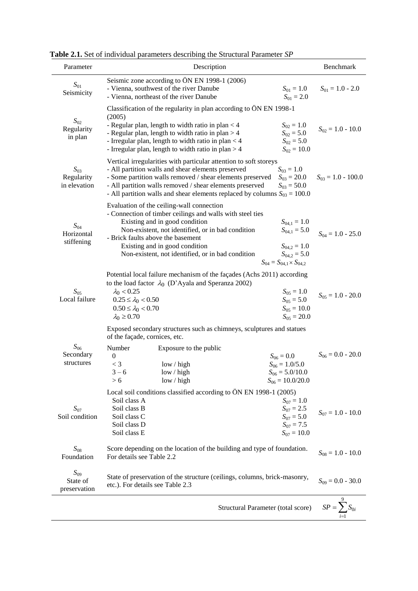| Parameter                              | Description                                                                                                                                                                                                                                                                                                                       |                                                                                                                     | Benchmark              |
|----------------------------------------|-----------------------------------------------------------------------------------------------------------------------------------------------------------------------------------------------------------------------------------------------------------------------------------------------------------------------------------|---------------------------------------------------------------------------------------------------------------------|------------------------|
| $S_{01}$<br>Seismicity                 | Seismic zone according to ÖN EN 1998-1 (2006)<br>- Vienna, southwest of the river Danube<br>- Vienna, northeast of the river Danube                                                                                                                                                                                               | $S_{01} = 1.0$<br>$S_{01} = 2.0$                                                                                    | $S_{01} = 1.0 - 2.0$   |
| $S_{02}$<br>Regularity<br>in plan      | Classification of the regularity in plan according to ÖN EN 1998-1<br>(2005)<br>- Regular plan, length to width ratio in plan $<$ 4<br>- Regular plan, length to width ratio in plan $>$ 4<br>- Irregular plan, length to width ratio in plan $<$ 4<br>- Irregular plan, length to width ratio in plan $>$ 4                      | $S_{02} = 1.0$<br>$S_{02} = 5.0$<br>$S_{02} = 5.0$<br>$S_{02} = 10.0$                                               | $S_{02} = 1.0 - 10.0$  |
| $S_{03}$<br>Regularity<br>in elevation | Vertical irregularities with particular attention to soft storeys<br>- All partition walls and shear elements preserved<br>- Some partition walls removed / shear elements preserved<br>- All partition walls removed / shear elements preserved<br>- All partition walls and shear elements replaced by columns $S_{03} = 100.0$ | $S_{03} = 1.0$<br>$S_{03} = 20.0$<br>$S_{03} = 50.0$                                                                | $S_{03} = 1.0 - 100.0$ |
| $S_{04}$<br>Horizontal<br>stiffening   | Evaluation of the ceiling-wall connection<br>- Connection of timber ceilings and walls with steel ties<br>Existing and in good condition<br>Non-existent, not identified, or in bad condition<br>- Brick faults above the basement<br>Existing and in good condition<br>Non-existent, not identified, or in bad condition         | $S_{04,1} = 1.0$<br>$S_{04,1} = 5.0$<br>$S_{04,2} = 1.0$<br>$S_{04.2} = 5.0$<br>$S_{04} = S_{04,1} \times S_{04,2}$ | $S_{04} = 1.0 - 25.0$  |
| $S_{05}$<br>Local failure              | Potential local failure mechanism of the façades (Achs 2011) according<br>to the load factor $\lambda_0$ (D'Ayala and Speranza 2002)<br>$\lambda_0 < 0.25$<br>$0.25 \leq \lambda_0 < 0.50$<br>$0.50 \leq \lambda_0 < 0.70$<br>$\lambda_0 \geq 0.70$                                                                               | $S_{05} = 1.0$<br>$S_{05} = 5.0$<br>$S_{05} = 10.0$<br>$S_{05} = 20.0$                                              | $S_{05} = 1.0 - 20.0$  |
| $S_{06}$<br>Secondary<br>structures    | Exposed secondary structures such as chimneys, sculptures and statues<br>of the façade, cornices, etc.<br>Number<br>Exposure to the public<br>$\boldsymbol{0}$<br>$<$ 3<br>low / high<br>$3 - 6$<br>low / high<br>> 6<br>low / high                                                                                               | $S_{06} = 0.0$<br>$S_{06} = 1.0/5.0$<br>$S_{06} = 5.0/10.0$<br>$S_{06} = 10.0/20.0$                                 | $S_{06} = 0.0 - 20.0$  |
| $S_{07}$<br>Soil condition             | Local soil conditions classified according to ÖN EN 1998-1 (2005)<br>Soil class A<br>Soil class B<br>Soil class C<br>Soil class D<br>Soil class E                                                                                                                                                                                 | $S_{07} = 1.0$<br>$S_{07} = 2.5$<br>$S_{07} = 5.0$<br>$S_{07} = 7.5$<br>$S_{07} = 10.0$                             | $S_{07} = 1.0 - 10.0$  |
| $S_{08}$<br>Foundation                 | Score depending on the location of the building and type of foundation.<br>For details see Table 2.2                                                                                                                                                                                                                              |                                                                                                                     | $S_{08} = 1.0 - 10.0$  |
| $S_{09}$<br>State of<br>preservation   | State of preservation of the structure (ceilings, columns, brick-masonry,<br>etc.). For details see Table 2.3                                                                                                                                                                                                                     |                                                                                                                     | $S_{09} = 0.0 - 30.0$  |
|                                        |                                                                                                                                                                                                                                                                                                                                   | Structural Parameter (total score)                                                                                  | $SP = \sum S_{0i}$     |

**Table 2.1.** Set of individual parameters describing the Structural Parameter *SP*

0 1 *i i*  $=\sum_{i=1}$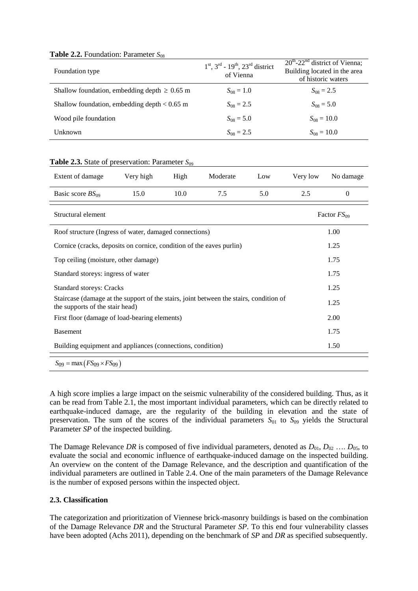## **Table 2.2.** Foundation: Parameter  $S_{08}$

| Foundation type                                   | $1st$ , $3rd$ - $19th$ , $23rd$ district<br>of Vienna | $20^{\text{th}}$ -22 <sup>nd</sup> district of Vienna;<br>Building located in the area<br>of historic waters |
|---------------------------------------------------|-------------------------------------------------------|--------------------------------------------------------------------------------------------------------------|
| Shallow foundation, embedding depth $\geq 0.65$ m | $S_{08} = 1.0$                                        | $S_{08} = 2.5$                                                                                               |
| Shallow foundation, embedding depth $< 0.65$ m    | $S_{08} = 2.5$                                        | $S_{08} = 5.0$                                                                                               |
| Wood pile foundation                              | $S_{08} = 5.0$                                        | $S_{08} = 10.0$                                                                                              |
| Unknown                                           | $S_{08} = 2.5$                                        | $S_{08} = 10.0$                                                                                              |

#### **Table 2.3.** State of preservation: Parameter  $S_{09}$

| Extent of damage                                                                                                          | Very high | High | Moderate | Low | Very low | No damage        |  |  |
|---------------------------------------------------------------------------------------------------------------------------|-----------|------|----------|-----|----------|------------------|--|--|
| Basic score $BS_{09}$                                                                                                     | 15.0      | 10.0 | 7.5      | 5.0 | 2.5      | $\Omega$         |  |  |
| Structural element                                                                                                        |           |      |          |     |          | Factor $FS_{09}$ |  |  |
| Roof structure (Ingress of water, damaged connections)                                                                    |           |      |          |     |          | 1.00             |  |  |
| Cornice (cracks, deposits on cornice, condition of the eaves purlin)                                                      |           |      |          |     |          | 1.25             |  |  |
| Top ceiling (moisture, other damage)                                                                                      |           |      |          |     |          | 1.75             |  |  |
| Standard storeys: ingress of water                                                                                        |           |      |          |     |          | 1.75             |  |  |
| <b>Standard storeys: Cracks</b>                                                                                           |           |      |          |     |          | 1.25             |  |  |
| Staircase (damage at the support of the stairs, joint between the stairs, condition of<br>the supports of the stair head) |           |      |          |     |          | 1.25             |  |  |
| First floor (damage of load-bearing elements)                                                                             |           |      |          |     |          | 2.00             |  |  |
| <b>Basement</b>                                                                                                           |           |      |          |     |          | 1.75             |  |  |
| Building equipment and appliances (connections, condition)                                                                |           |      |          |     |          | 1.50             |  |  |
| $S_{09} = \max(FS_{09} \times FS_{09})$                                                                                   |           |      |          |     |          |                  |  |  |

A high score implies a large impact on the seismic vulnerability of the considered building. Thus, as it can be read from Table 2.1, the most important individual parameters, which can be directly related to earthquake-induced damage, are the regularity of the building in elevation and the state of preservation. The sum of the scores of the individual parameters  $S_{01}$  to  $S_{09}$  yields the Structural Parameter *SP* of the inspected building.

The Damage Relevance *DR* is composed of five individual parameters, denoted as  $D_{01}$ ,  $D_{02}$  ...  $D_{05}$ , to evaluate the social and economic influence of earthquake-induced damage on the inspected building. An overview on the content of the Damage Relevance, and the description and quantification of the individual parameters are outlined in Table 2.4. One of the main parameters of the Damage Relevance is the number of exposed persons within the inspected object.

# **2.3. Classification**

The categorization and prioritization of Viennese brick-masonry buildings is based on the combination of the Damage Relevance *DR* and the Structural Parameter *SP*. To this end four vulnerability classes have been adopted (Achs 2011), depending on the benchmark of *SP* and *DR* as specified subsequently.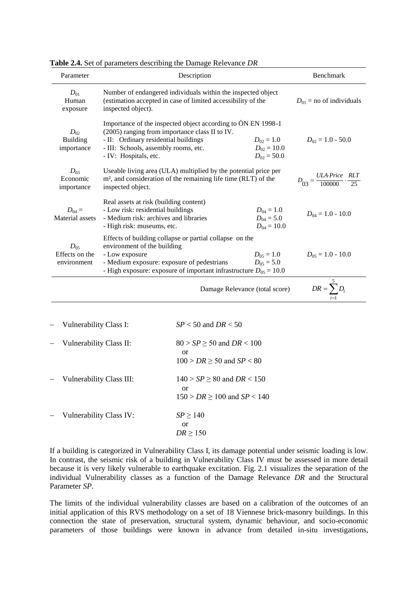| Parameter                                 | Description                                                                                                                                                                                                                                                                     |                                                                                    |                       | Benchmark                                                      |
|-------------------------------------------|---------------------------------------------------------------------------------------------------------------------------------------------------------------------------------------------------------------------------------------------------------------------------------|------------------------------------------------------------------------------------|-----------------------|----------------------------------------------------------------|
| $D_{01}$<br>Human<br>exposure             | Number of endangered individuals within the inspected object<br>(estimation accepted in case of limited accessibility of the<br>inspected object).                                                                                                                              |                                                                                    |                       | $D_{01}$ = no of individuals                                   |
| $D_{02}$<br><b>Building</b><br>importance | Importance of the inspected object according to ÖN EN 1998-1<br>(2005) ranging from importance class II to IV.<br>- II: Ordinary residential buildings<br>$D_{02} = 1.0$<br>- III: Schools, assembly rooms, etc.<br>$D_{02} = 10.0$<br>- IV: Hospitals, etc.<br>$D_{02} = 50.0$ |                                                                                    | $D_{02} = 1.0 - 50.0$ |                                                                |
| $D_{03}$<br>Economic<br>importance        | Useable living area (ULA) multiplied by the potential price per<br>m <sup>2</sup> , and consideration of the remaining life time (RLT) of the<br>inspected object.                                                                                                              |                                                                                    |                       | $D_{03} = \frac{ULA \cdot Price}{100000} \cdot \frac{RLT}{25}$ |
| $D_{04} =$<br>Material assets             | Real assets at risk (building content)<br>- Low risk: residential buildings<br>$D_{04} = 1.0$<br>- Medium risk: archives and libraries<br>$D_{04} = 5.0$<br>- High risk: museums, etc.<br>$D_{04} = 10.0$                                                                       |                                                                                    |                       | $D_{04} = 1.0 - 10.0$                                          |
| $D_{05}$<br>Effects on the<br>environment | Effects of building collapse or partial collapse on the<br>environment of the building<br>$D_{05} = 1.0$<br>- Low exposure<br>- Medium exposure: exposure of pedestrians<br>$D_{05} = 5.0$<br>- High exposure: exposure of important infrastructure $D_{05} = 10.0$             |                                                                                    | $D_{05} = 1.0 - 10.0$ |                                                                |
|                                           |                                                                                                                                                                                                                                                                                 | Damage Relevance (total score)                                                     |                       | $DR = \sum D_i$                                                |
| Vulnerability Class I:                    |                                                                                                                                                                                                                                                                                 | $SP < 50$ and $DR < 50$                                                            |                       |                                                                |
| Vulnerability Class II:                   |                                                                                                                                                                                                                                                                                 | $80 > SP \ge 50$ and $DR < 100$<br><b>or</b><br>$100 > DR \ge 50$ and $SP < 80$    |                       |                                                                |
| Vulnerability Class III:                  |                                                                                                                                                                                                                                                                                 | $140 > SP \ge 80$ and $DR < 150$<br><b>or</b><br>$150 > DR \ge 100$ and $SP < 140$ |                       |                                                                |
| Vulnerability Class IV:                   |                                                                                                                                                                                                                                                                                 | $SP \ge 140$<br><sub>or</sub><br>$DR \ge 150$                                      |                       |                                                                |

**Table 2.4.** Set of parameters describing the Damage Relevance *DR*

If a building is categorized in Vulnerability Class I, its damage potential under seismic loading is low. In contrast, the seismic risk of a building in Vulnerability Class IV must be assessed in more detail because it is very likely vulnerable to earthquake excitation. Fig. 2.1 visualizes the separation of the individual Vulnerability classes as a function of the Damage Relevance *DR* and the Structural Parameter *SP*.

The limits of the individual vulnerability classes are based on a calibration of the outcomes of an initial application of this RVS methodology on a set of 18 Viennese brick-masonry buildings. In this connection the state of preservation, structural system, dynamic behaviour, and socio-economic parameters of those buildings were known in advance from detailed in-situ investigations,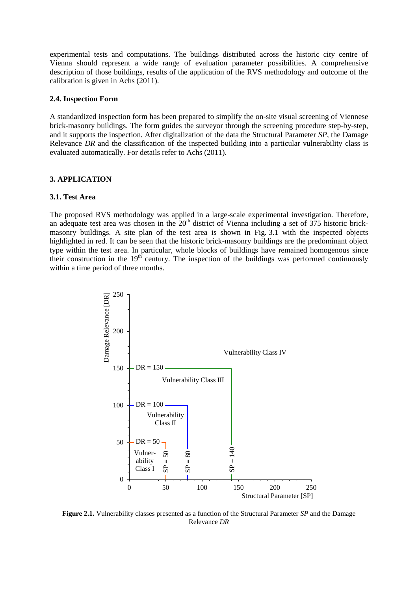experimental tests and computations. The buildings distributed across the historic city centre of Vienna should represent a wide range of evaluation parameter possibilities. A comprehensive description of those buildings, results of the application of the RVS methodology and outcome of the calibration is given in Achs (2011).

#### **2.4. Inspection Form**

A standardized inspection form has been prepared to simplify the on-site visual screening of Viennese brick-masonry buildings. The form guides the surveyor through the screening procedure step-by-step, and it supports the inspection. After digitalization of the data the Structural Parameter *SP*, the Damage Relevance *DR* and the classification of the inspected building into a particular vulnerability class is evaluated automatically. For details refer to Achs (2011).

#### **3. APPLICATION**

#### **3.1. Test Area**

The proposed RVS methodology was applied in a large-scale experimental investigation. Therefore, an adequate test area was chosen in the  $20<sup>th</sup>$  district of Vienna including a set of 375 historic brickmasonry buildings. A site plan of the test area is shown in Fig. 3.1 with the inspected objects highlighted in red. It can be seen that the historic brick-masonry buildings are the predominant object type within the test area. In particular, whole blocks of buildings have remained homogenous since their construction in the 19<sup>th</sup> century. The inspection of the buildings was performed continuously within a time period of three months.



**Figure 2.1.** Vulnerability classes presented as a function of the Structural Parameter *SP* and the Damage Relevance *DR*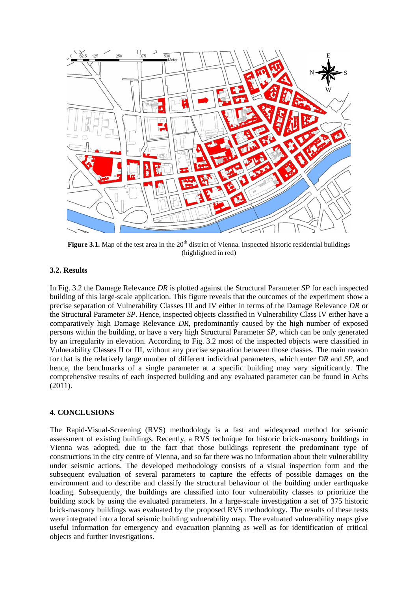

**Figure 3.1.** Map of the test area in the 20<sup>th</sup> district of Vienna. Inspected historic residential buildings (highlighted in red)

#### **3.2. Results**

In Fig. 3.2 the Damage Relevance *DR* is plotted against the Structural Parameter *SP* for each inspected building of this large-scale application. This figure reveals that the outcomes of the experiment show a precise separation of Vulnerability Classes III and IV either in terms of the Damage Relevance *DR* or the Structural Parameter *SP*. Hence, inspected objects classified in Vulnerability Class IV either have a comparatively high Damage Relevance *DR*, predominantly caused by the high number of exposed persons within the building, or have a very high Structural Parameter *SP*, which can be only generated by an irregularity in elevation. According to Fig. 3.2 most of the inspected objects were classified in Vulnerability Classes II or III, without any precise separation between those classes. The main reason for that is the relatively large number of different individual parameters, which enter *DR* and *SP*, and hence, the benchmarks of a single parameter at a specific building may vary significantly. The comprehensive results of each inspected building and any evaluated parameter can be found in Achs (2011).

# **4. CONCLUSIONS**

The Rapid-Visual-Screening (RVS) methodology is a fast and widespread method for seismic assessment of existing buildings. Recently, a RVS technique for historic brick-masonry buildings in Vienna was adopted, due to the fact that those buildings represent the predominant type of constructions in the city centre of Vienna, and so far there was no information about their vulnerability under seismic actions. The developed methodology consists of a visual inspection form and the subsequent evaluation of several parameters to capture the effects of possible damages on the environment and to describe and classify the structural behaviour of the building under earthquake loading. Subsequently, the buildings are classified into four vulnerability classes to prioritize the building stock by using the evaluated parameters. In a large-scale investigation a set of 375 historic brick-masonry buildings was evaluated by the proposed RVS methodology. The results of these tests were integrated into a local seismic building vulnerability map. The evaluated vulnerability maps give useful information for emergency and evacuation planning as well as for identification of critical objects and further investigations.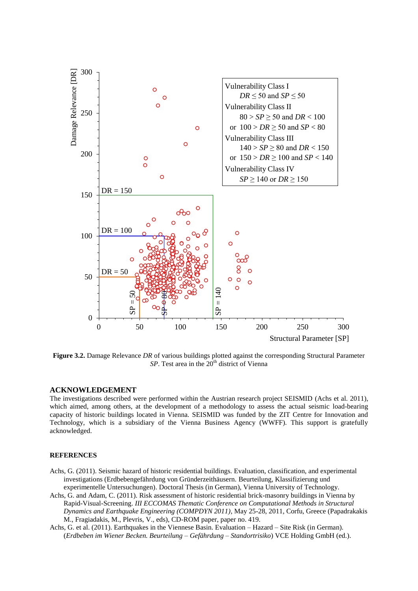

**Figure 3.2.** Damage Relevance *DR* of various buildings plotted against the corresponding Structural Parameter *SP*. Test area in the 20<sup>th</sup> district of Vienna

#### **ACKNOWLEDGEMENT**

The investigations described were performed within the Austrian research project SEISMID (Achs et al. 2011), which aimed, among others, at the development of a methodology to assess the actual seismic load-bearing capacity of historic buildings located in Vienna. SEISMID was funded by the ZIT Centre for Innovation and Technology, which is a subsidiary of the Vienna Business Agency (WWFF). This support is gratefully acknowledged.

#### **REFERENCES**

- Achs, G. (2011). Seismic hazard of historic residential buildings. Evaluation, classification, and experimental investigations (Erdbebengefährdung von Gründerzeithäusern. Beurteilung, Klassifizierung und experimentelle Untersuchungen). Doctoral Thesis (in German), Vienna University of Technology.
- Achs, G. and Adam, C. (2011). Risk assessment of historic residential brick-masonry buildings in Vienna by Rapid-Visual-Screening. *III ECCOMAS Thematic Conference on Computational Methods in Structural Dynamics and Earthquake Engineering (COMPDYN 2011)*, May 25-28, 2011, Corfu, Greece (Papadrakakis M., Fragiadakis, M., Plevris, V., eds), CD-ROM paper, paper no. 419.
- Achs, G. et al. (2011). Earthquakes in the Viennese Basin. Evaluation Hazard Site Risk (in German). (*Erdbeben im Wiener Becken. Beurteilung – Gefährdung – Standortrisiko*) VCE Holding GmbH (ed.).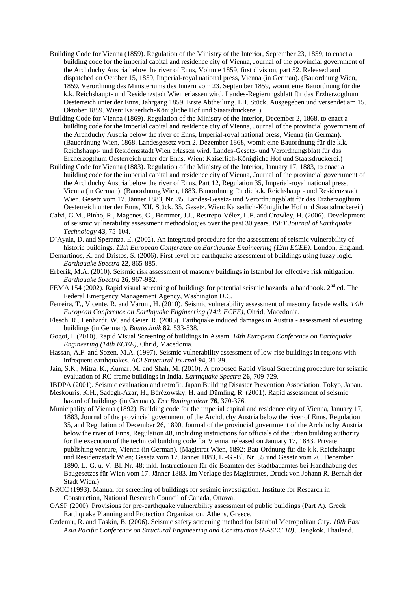- Building Code for Vienna (1859). Regulation of the Ministry of the Interior, September 23, 1859, to enact a building code for the imperial capital and residence city of Vienna, Journal of the provincial government of the Archduchy Austria below the river of Enns, Volume 1859, first division, part 52. Released and dispatched on October 15, 1859, Imperial-royal national press, Vienna (in German). (Bauordnung Wien, 1859. Verordnung des Ministeriums des Innern vom 23. September 1859, womit eine Bauordnung für die k.k. Reichshaupt- und Residenzstadt Wien erlassen wird, Landes-Regierungsblatt für das Erzherzogthum Oesterreich unter der Enns, Jahrgang 1859. Erste Abtheilung. LII. Stück. Ausgegeben und versendet am 15. Oktober 1859. Wien: Kaiserlich-Königliche Hof und Staatsdruckerei.)
- Building Code for Vienna (1869). Regulation of the Ministry of the Interior, December 2, 1868, to enact a building code for the imperial capital and residence city of Vienna, Journal of the provincial government of the Archduchy Austria below the river of Enns, Imperial-royal national press, Vienna (in German). (Bauordnung Wien, 1868. Landesgesetz vom 2. Dezember 1868, womit eine Bauordnung für die k.k. Reichshaupt- und Residenzstadt Wien erlassen wird. Landes-Gesetz- und Verordnungsblatt für das Erzherzogthum Oesterreich unter der Enns. Wien: Kaiserlich-Königliche Hof und Staatsdruckerei.)
- Building Code for Vienna (1883). Regulation of the Ministry of the Interior, January 17, 1883, to enact a building code for the imperial capital and residence city of Vienna, Journal of the provincial government of the Archduchy Austria below the river of Enns, Part 12, Regulation 35, Imperial-royal national press, Vienna (in German). (Bauordnung Wien, 1883. Bauordnung für die k.k. Reichshaupt- und Residenzstadt Wien. Gesetz vom 17. Jänner 1883, Nr. 35. Landes-Gesetz- und Verordnungsblatt für das Erzherzogthum Oesterreich unter der Enns, XII. Stück. 35. Gesetz. Wien: Kaiserlich-Königliche Hof und Staatsdruckerei.)
- Calvi, G.M., Pinho, R., Magenes, G., Bommer, J.J., Restrepo-Vélez, L.F. and Crowley, H. (2006). Development of seismic vulnerability assessment methodologies over the past 30 years. *ISET Journal of Earthquake Technology* **43**, 75-104.
- D'Ayala, D. and Speranza, E. (2002). An integrated procedure for the assessment of seismic vulnerability of historic buildings. *12th European Conference on Earthquake Engineering (12th ECEE)*. London, England.
- Demartinos, K. and Dristos, S. (2006). First-level pre-earthquake assessment of buildings using fuzzy logic. *Earthquake Spectra* **22**, 865-885.
- Erberik, M.A. (2010). Seismic risk assessment of masonry buildings in Istanbul for effective risk mitigation. *Earthquake Spectra* **26**, 967-982.
- FEMA 154 (2002). Rapid visual screening of buildings for potential seismic hazards: a handbook. 2<sup>nd</sup> ed. The Federal Emergency Management Agency, Washington D.C.
- Ferreira, T., Vicente, R. and Varum, H. (2010). Seismic vulnerability assessment of masonry facade walls. *14th European Conference on Earthquake Engineering (14th ECEE)*, Ohrid, Macedonia.
- Flesch, R., Lenhardt, W. and Geier, R. (2005). Earthquake induced damages in Austria assessment of existing buildings (in German). *Bautechnik* **82**, 533-538.
- Gogoi, I. (2010). Rapid Visual Screening of buildings in Assam. *14th European Conference on Earthquake Engineering (14th ECEE)*, Ohrid, Macedonia.
- Hassan, A.F. and Sozen, M.A. (1997). Seismic vulnerability assessment of low-rise buildings in regions with infrequent earthquakes. *ACI Structural Journal* **94**, 31-39.
- Jain, S.K., Mitra, K., Kumar, M. and Shah, M. (2010). A proposed Rapid Visual Screening procedure for seismic evaluation of RC-frame buildings in India. *Earthquake Spectra* **26**, 709-729.
- JBDPA (2001). Seismic evaluation and retrofit. Japan Building Disaster Prevention Association, Tokyo, Japan.
- Meskouris, K.H., Sadegh-Azar, H., Bérézowsky, H. and Dümling, R. (2001). Rapid assessment of seismic hazard of buildings (in German). *Der Bauingenieur* **76**, 370-376.
- Municipality of Vienna (1892). Building code for the imperial capital and residence city of Vienna, January 17, 1883, Journal of the provincial government of the Archduchy Austria below the river of Enns, Regulation 35, and Regulation of December 26, 1890, Journal of the provincial government of the Archduchy Austria below the river of Enns, Regulation 48, including instructions for officials of the urban building authority for the execution of the technical building code for Vienna, released on January 17, 1883. Private publishing venture, Vienna (in German). (Magistrat Wien, 1892: Bau-Ordnung für die k.k. Reichshauptund Residenzstadt Wien; Gesetz vom 17. Jänner 1883, L.-G.-Bl. Nr. 35 und Gesetz vom 26. December 1890, L.-G. u. V.-Bl. Nr. 48; inkl. Instructionen für die Beamten des Stadtbauamtes bei Handhabung des Baugesetzes für Wien vom 17. Jänner 1883. Im Verlage des Magistrates, Druck von Johann R. Bernah der Stadt Wien.)
- NRCC (1993). Manual for screening of buildings for sesimic investigation. Institute for Research in Construction, National Research Council of Canada, Ottawa.
- OASP (2000). Provisions for pre-earthquake vulnerability assessment of public buildings (Part A). Greek Earthquake Planning and Protection Organization, Athens, Greece.
- Ozdemir, R. and Taskin, B. (2006). [Seismic safety screening method for Istanbul Metropolitan City.](http://www.ins.itu.edu.tr/btaskin/10EASEC_POzdemir_BTaskin.pdf) *10th East Asia Pacific Conference on Structural Engineering and Construction (EASEC 10)*, Bangkok, Thailand.